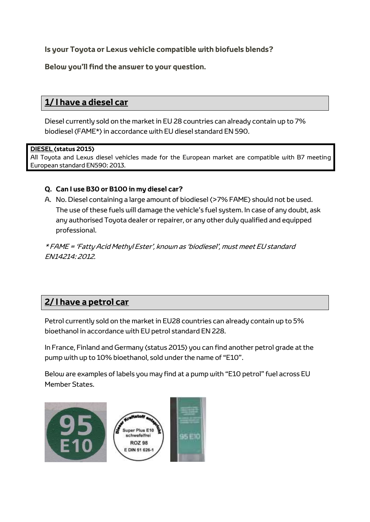**Is your Toyota or Lexus vehicle compatible with biofuels blends?**

**Below you'll find the answer to your question.**

# **1/ I have a diesel car**

Diesel currently sold on the market in EU 28 countries can already contain up to 7% biodiesel (FAME\*) in accordance with EU diesel standard EN 590.

#### **DIESEL (status 2015)**

All Toyota and Lexus diesel vehicles made for the European market are compatible with B7 meeting European standard EN590: 2013.

### **Q. Can I use B30 or B100 in my diesel car?**

A. No. Diesel containing a large amount of biodiesel (>7% FAME) should not be used. The use of these fuels will damage the vehicle's fuel system. In case of any doubt, ask any authorised Toyota dealer or repairer, or any other duly qualified and equipped professional.

\* FAME = 'Fatty Acid Methyl Ester', known as 'biodiesel', must meet EU standard EN14214: 2012.

## **2/ I have a petrol car**

Petrol currently sold on the market in EU28 countries can already contain up to 5% bioethanol in accordance with EU petrol standard EN 228.

In France, Finland and Germany (status 2015) you can find another petrol grade at the pump with up to 10% bioethanol, sold under the name of "E10".

Below are examples of labels you may find at a pump with "E10 petrol" fuel across EU Member States.